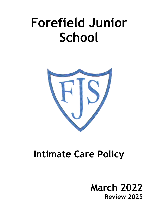# **Forefield Junior School**



## **Intimate Care Policy**

### **March 2022 Review 2025**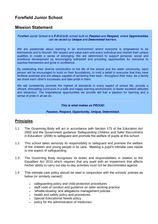#### **Forefield Junior School**

#### **Mission Statement**

Forefield Junior School is a P.R.O.U.D. school built on Passion and Respect, where Opportunities can be seized by Unique and Determined learners.

We are passionate about learning in an environment where everyone is empowered to be themselves and to flourish. We respect and value each and every individual and cherish their unique qualities to create a sense of belonging. We are determined to support personal, social and emotional development by encouraging self-belief and providing opportunities for everyone to express themselves and grow in confidence.

By celebrating their diverse contribution to the life of the school and the wider community, each person will be encouraged to build on their foundations, to instil a belief in everyone that they have limitless potential and are always capable of achieving their best - throughout their lives. As a family we share each other's successes and take pride in them.

We will consistently promote the highest of standards in every aspect of school life, provide a vibrant, stimulating curriculum in a safe and happy learning environment, to foster excellent attitudes and behaviour. The inspirational opportunities we provide will fuel a passion for learning and a sense of pride in all we do.

This is what makes us PROUD:

#### Passion, Respect, Opportunity, Unique, Determined.

#### **Principles**

- 1.1 The Governing Body will act in accordance with Section 175 of the Education Act 2002 and the Government guidance 'Safeguarding Children and Safer Recruitment in Education' (2006) to safeguard and promote the welfare of pupils at this school.
- 1.2 This school takes seriously its responsibility to safeguard and promote the welfare of the children and young people in its care. Meeting a pupil's intimate care needs is one aspect of safeguarding.
- 1.3 The Governing Body recognises its duties and responsibilities in relation to the Equalities Act 2010 which requires that any pupil with an impairment that affects his/her ability to carry out day-to-day activities must not be discriminated against.
- 1.4 This intimate care policy should be read in conjunction with the schools' policies as below (or similarly named):
	- safeguarding policy and child protection procedures
	- staff code of conduct and guidance on safer working practice
	- 'whistle-blowing' and allegations management policies
	- health and safety policy and procedures
	- Special Educational Needs policy
	- policy for the administration of medicines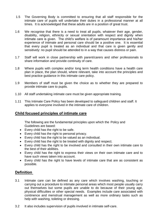- 1.5 The Governing Body is committed to ensuring that all staff responsible for the intimate care of pupils will undertake their duties in a professional manner at all times. It is acknowledged that these adults are in a position of great trust.
- 1.6 We recognise that there is a need to treat all pupils, whatever their age, gender, disability, religion, ethnicity or sexual orientation with respect and dignity when intimate care is given. The child's welfare is of paramount importance and his/her experience of intimate and personal care should be a positive one. It is essential that every pupil is treated as an individual and that care is given gently and sensitively: no pupil should be attended to in a way that causes distress or pain.
- 1.7 Staff will work in close partnership with parent/carers and other professionals to share information and provide continuity of care.
- 1.8 Where pupils with complex and/or long term health conditions have a health care plan in place, the plan should, where relevant, take into account the principles and best practice guidance in this intimate care policy.
- 1.9 Members of staff must be given the choice as to whether they are prepared to provide intimate care to pupils.
- 1.10 All staff undertaking intimate care must be given appropriate training.
- 1.11 This Intimate Care Policy has been developed to safeguard children and staff. It applies to everyone involved in the intimate care of children.

#### **Child focused principles of intimate care**

The following are the fundamental principles upon which the Policy and Guidelines are based:

- Every child has the right to be safe.
- Every child has the right to personal privacy.
- Every child has the right to be valued as an individual.
- Every child has the right to be treated with dignity and respect.
- Every child has the right to be involved and consulted in their own intimate care to the best of their abilities.
- Every child has the right to express their views on their own intimate care and to have such views taken into account.
- Every child has the right to have levels of intimate care that are as consistent as possible.

#### **Definition**

- 3.1 Intimate care can be defined as any care which involves washing, touching or carrying out a procedure to intimate personal areas which most people usually carry out themselves but some pupils are unable to do because of their young age, physical difficulties or other special needs. Examples include care associated with continence and menstrual management as well as more ordinary tasks such as help with washing, toileting or dressing.
- 3.2 It also includes supervision of pupils involved in intimate self-care.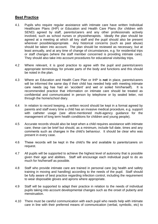#### **Best Practice**

- 4.1 Pupils who require regular assistance with intimate care have written Individual Healthcare Plans (IHP) or Education and Health Care Plans (for children with SEND) agreed by staff, parents/carers and any other professionals actively involved, such as school nurses or physiotherapists. Ideally the plan should be agreed at a meeting at which all key staff and the pupil should also be present wherever possible/appropriate. Any historical concerns (such as past abuse) should be taken into account. The plan should be reviewed as necessary, but at least annually, and at any time of change of circumstances, e.g. for residential trips or staff changes (where the staff member concerned is providing intimate care). They should also take into account procedures for educational visits/day trips.
- 4.2 Where relevant, it is good practice to agree with the pupil and parents/carers appropriate terminology for private parts of the body and functions and this should be noted in the plan.
- 4.3 Where an Education and Health Care Plan or IHP is **not** in place, parents/carers will be informed the same day if their child has needed help with meeting intimate care needs (eg has had an 'accident' and wet or soiled him/herself). It is recommended practice that information on intimate care should be treated as confidential and communicated in person by telephone or by sealed letter, not through the home/school diary.
- 4.4 In relation to record keeping, a written record should be kept in a format agreed by parents and staff every time a child has an invasive medical procedure, e.g. support with catheter usage (see afore-mentioned multi-agency guidance for the management of long term health conditions for children and young people).
- 4.5 Accurate records should also be kept when a child requires assistance with intimate care; these can be brief but should, as a minimum, include full date, times and any comments such as changes in the child's behaviour. It should be clear who was present in every case.
- 4.6 These records will be kept in the child's file and available to parents/carers on request.
- 4.7 All pupils will be supported to achieve the highest level of autonomy that is possible given their age and abilities. Staff will encourage each individual pupil to do as much for his/herself as possible.
- 4.8 Staff who provide intimate care are trained in personal care (eg health and safety training in moving and handling) according to the needs of the pupil. Staff should be fully aware of best practice regarding infection control, including the requirement to wear disposable gloves and aprons where appropriate.
- 4.9 Staff will be supported to adapt their practice in relation to the needs of individual pupils taking into account developmental changes such as the onset of puberty and menstruation.
- 4.10 There must be careful communication with each pupil who needs help with intimate care in line with their preferred means of communication (verbal, symbolic, etc) to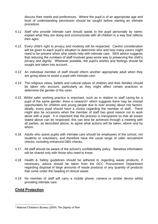discuss their needs and preferences. Where the pupil is of an appropriate age and level of understanding permission should be sought before starting an intimate procedure.

- 4.11 Staff who provide intimate care should speak to the pupil personally by name, explain what they are doing and communicate with all children in a way that reflects their ages.
- 4.12 Every child's right to privacy and modesty will be respected. Careful consideration will be given to each pupil's situation to determine who and how many carers might need to be present when s/he needs help with intimate care. SEN advice suggests that reducing the numbers of staff involved goes some way to preserving the child's privacy and dignity. Wherever possible, the pupil's wishes and feelings should be sought and taken into account.
- 4.13 An individual member of staff should inform another appropriate adult when they are going alone to assist a pupil with intimate care.
- 4.14 The religious views, beliefs and cultural values of children and their families should be taken into account, particularly as they might affect certain practices or determine the gender of the carer.
- 4.15 Whilst safer working practice is important, such as in relation to staff caring for a pupil of the same gender, there is research<sup>1</sup> which suggests there may be missed opportunities for children and young people due to over anxiety about risk factors; ideally, every pupil should have a choice regarding the member of staff. There might also be occasions when the member of staff has good reason not to work alone with a pupil. It is important that the process is transparent so that all issues stated above can be respected; this can best be achieved through a meeting with all parties, as described above, to agree what actions will be taken, where and by whom.
- 4.16 Adults who assist pupils with intimate care should be employees of the school, not students or volunteers, and therefore have the usual range of safer recruitment checks, including enhanced DBS checks.
- 4.17 All staff should be aware of the school's confidentiality policy. Sensitive information will be shared only with those who need to know.
- 4.18 Health & Safety guidelines should be adhered to regarding waste products, if necessary, advice should be taken from the DCC Procurement Department regarding disposal of large amounts of waste products or any quantity of products that come under the heading of clinical waste.
- 4.19 No member of staff will carry a mobile phone, camera or similar device whilst providing intimate care.

#### **Child Protection**

<sup>&</sup>lt;u>.</u> <sup>1</sup> National Children's Bureau (2004) *The Dignity of Risk*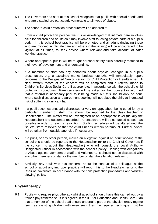- 5.1 The Governors and staff at this school recognise that pupils with special needs and who are disabled are particularly vulnerable to all types of abuse.
- 5.2 The school's child protection procedures will be adhered to.
- 5.3 From a child protection perspective it is acknowledged that intimate care involves risks for children and adults as it may involve staff touching private parts of a pupil's body. In this school best practice will be promoted and all adults (including those who are involved in intimate care and others in the vicinity) will be encouraged to be vigilant at all times, to seek advice where relevant and take account of safer working practice.
- 5.4 Where appropriate, pupils will be taught personal safety skills carefully matched to their level of development and understanding.
- 5.5 If a member of staff has any concerns about physical changes in a pupil's presentation, e.g. unexplained marks, bruises, etc s/he will immediately report concerns to the Designated Senior Person for Child Protection or Headteacher. A clear written record of the concern will be completed and a referral made to Children's Services Social Care if appropriate, in accordance with the school's child protection procedures. Parents/carers will be asked for their consent or informed that a referral is necessary prior to it being made but this should only be done where such discussion and agreement-seeking will not place the child at increased risk of suffering significant harm.
- 5.6 If a pupil becomes unusually distressed or very unhappy about being cared for by a particular member of staff, this should be reported to the class teacher or Headteacher. The matter will be investigated at an appropriate level (usually the Headteacher) and outcomes recorded. Parents/carers will be contacted as soon as possible in order to reach a resolution. Staffing schedules will be altered until the issue/s is/are resolved so that the child's needs remain paramount. Further advice will be taken from outside agencies if necessary.
- 5.7 If a pupil, or any other person, makes an allegation against an adult working at the school this should be reported to the Headteacher (or to the Chair of Governors if the concern is about the Headteacher) who will consult the Local Authority Designated Officer in accordance with the school's policy: Dealing with Allegations of Abuse against Members of Staff and Volunteers. It should not be discussed with any other members of staff or the member of staff the allegation relates to.
- 5.8 Similarly, any adult who has concerns about the conduct of a colleague at the school or about any improper practice will report this to the Headteacher or to the Chair of Governors, in accordance with the child protection procedures and 'whistleblowing' policy.

#### **Physiotherapy**

6.1 Pupils who require physiotherapy whilst at school should have this carried out by a trained physiotherapist. If it is agreed in the IHP or Education and Health Care Plan that a member of the school staff should undertake part of the physiotherapy regime (such as assisting children with exercises), then the required technique must be